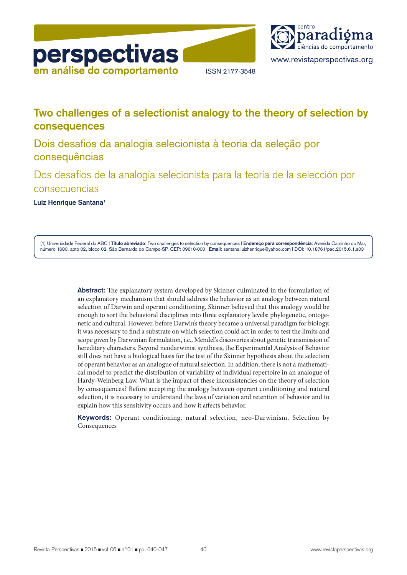



# **Two challenges of a selectionist analogy to the theory of selection by consequences**

Dois desafios da analogia selecionista à teoria da seleção por consequências

Dos desafíos de la analogía selecionista para la teoría de la selección por consecuencias

**Luiz Henrique Santana**1

[1] Universidade Federal do ABC | **Título abreviado**: Two challenges to selection by consequences | **Endereço para correspondência**: Avenida Caminho do Mar, número 1680, apto 02, bloco 02. São Bernardo do Campo-SP. CEP: 09610-000 | **Email**: santana.luizhenrique@yahoo.com | DOI: 10.18761/pac.2015.6.1.a03

> **Abstract:** The explanatory system developed by Skinner culminated in the formulation of an explanatory mechanism that should address the behavior as an analogy between natural selection of Darwin and operant conditioning. Skinner believed that this analogy would be enough to sort the behavioral disciplines into three explanatory levels: phylogenetic, ontogenetic and cultural. However, before Darwin's theory became a universal paradigm for biology, it was necessary to find a substrate on which selection could act in order to test the limits and scope given by Darwinian formulation, i.e., Mendel's discoveries about genetic transmission of hereditary characters. Beyond neodarwinist synthesis, the Experimental Analysis of Behavior still does not have a biological basis for the test of the Skinner hypothesis about the selection of operant behavior as an analogue of natural selection. In addition, there is not a mathematical model to predict the distribution of variability of individual repertoire in an analogue of Hardy-Weinberg Law. What is the impact of these inconsistencies on the theory of selection by consequences? Before accepting the analogy between operant conditioning and natural selection, it is necessary to understand the laws of variation and retention of behavior and to explain how this sensitivity occurs and how it affects behavior.

> **Keywords:** Operant conditioning, natural selection, neo-Darwinism, Selection by Consequences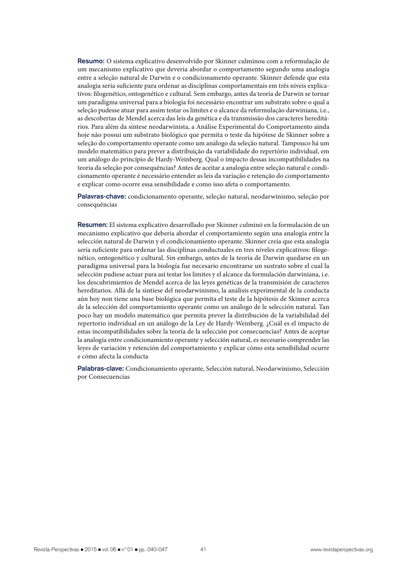**Resumo:** O sistema explicativo desenvolvido por Skinner culminou com a reformulação de um mecanismo explicativo que deveria abordar o comportamento segundo uma analogia entre a seleção natural de Darwin e o condicionamento operante. Skinner defende que esta analogia seria suficiente para ordenar as disciplinas comportamentais em três níveis explicativos: filogenético, ontogenético e cultural. Sem embargo, antes da teoria de Darwin se tornar um paradigma universal para a biologia foi necessário encontrar um substrato sobre o qual a seleção pudesse atuar para assim testar os limites e o alcance da reformulação darwiniana, i.e., as descobertas de Mendel acerca das leis da genética e da transmissão dos caracteres hereditários. Para além da síntese neodarwinista, a Análise Experimental do Comportamento ainda hoje não possui um substrato biológico que permita o teste da hipótese de Skinner sobre a seleção do comportamento operante como um análogo da seleção natural. Tampouco há um modelo matemático para prever a distribuição da variabilidade do repertório individual, em um análogo do princípio de Hardy-Weinberg. Qual o impacto dessas incompatibilidades na teoria da seleção por consequências? Antes de aceitar a analogia entre seleção natural e condicionamento operante é necessário entender as leis da variação e retenção do comportamento e explicar como ocorre essa sensibilidade e como isso afeta o comportamento.

**Palavras-chave:** condicionamento operante, seleção natural, neodarwinismo, seleção por consequências

**Resumen:** El sistema explicativo desarrollado por Skinner culminó en la formulación de un mecanismo explicativo que debería abordar el comportamiento según una analogía entre la selección natural de Darwin y el condicionamiento operante. Skinner creía que esta analogía sería suficiente para ordenar las disciplinas conductuales en tres niveles explicativos: filogenético, ontogenético y cultural. Sin embargo, antes de la teoría de Darwin quedarse en un paradigma universal para la biología fue necesario encontrarse un sustrato sobre el cual la selección pudiese actuar para así testar los limites y el alcance da formulación darwiniana, i.e. los descubrimientos de Mendel acerca de las leyes genéticas de la transmisión de caracteres hereditarios. Allá de la sintiese del neodarwinismo, la análisis experimental de la conducta aún hoy non tiene una base biológica que permita el teste de la hipótesis de Skinner acerca de la selección del comportamiento operante como un análogo de le selección natural. Tan poco hay un modelo matemático que permita prever la distribución de la variabilidad del repertorio individual en un análogo de la Ley de Hardy-Weinberg. ¿Cuál es el impacto de estas incompatibilidades sobre la teoría de la selección por consecuencias? Antes de aceptar la analogía entre condicionamiento operante y selección natural, es necesario comprender las leyes de variación y retención del comportamiento y explicar cómo esta sensibilidad ocurre e cómo afecta la conducta

**Palabras-clave:** Condicionamiento operante, Selección natural, Neodarwinismo, Selección por Consecuencias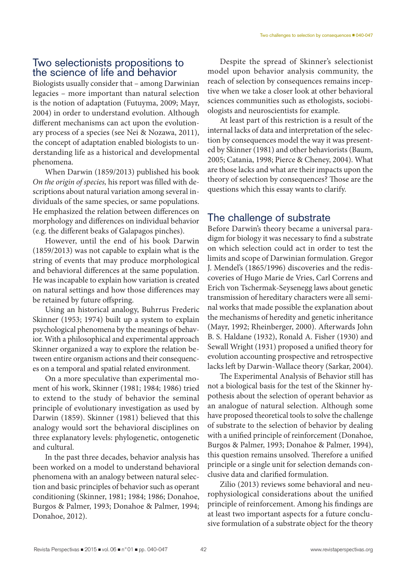#### Two selectionists propositions to the science of life and behavior

Biologists usually consider that – among Darwinian legacies – more important than natural selection is the notion of adaptation (Futuyma, 2009; Mayr, 2004) in order to understand evolution. Although different mechanisms can act upon the evolutionary process of a species (see Nei & Nozawa, 2011), the concept of adaptation enabled biologists to understanding life as a historical and developmental phenomena.

When Darwin (1859/2013) published his book *On the origin of species,* his report was filled with descriptions about natural variation among several individuals of the same species, or same populations. He emphasized the relation between differences on morphology and differences on individual behavior (e.g. the different beaks of Galapagos pinches).

However, until the end of his book Darwin (1859/2013) was not capable to explain what is the string of events that may produce morphological and behavioral differences at the same population. He was incapable to explain how variation is created on natural settings and how those differences may be retained by future offspring.

Using an historical analogy, Buhrrus Frederic Skinner (1953; 1974) built up a system to explain psychological phenomena by the meanings of behavior. With a philosophical and experimental approach Skinner organized a way to explore the relation between entire organism actions and their consequences on a temporal and spatial related environment.

On a more speculative than experimental moment of his work, Skinner (1981; 1984; 1986) tried to extend to the study of behavior the seminal principle of evolutionary investigation as used by Darwin (1859). Skinner (1981) believed that this analogy would sort the behavioral disciplines on three explanatory levels: phylogenetic, ontogenetic and cultural.

In the past three decades, behavior analysis has been worked on a model to understand behavioral phenomena with an analogy between natural selection and basic principles of behavior such as operant conditioning (Skinner, 1981; 1984; 1986; Donahoe, Burgos & Palmer, 1993; Donahoe & Palmer, 1994; Donahoe, 2012).

Despite the spread of Skinner's selectionist model upon behavior analysis community, the reach of selection by consequences remains inceptive when we take a closer look at other behavioral sciences communities such as ethologists, sociobiologists and neuroscientists for example.

At least part of this restriction is a result of the internal lacks of data and interpretation of the selection by consequences model the way it was presented by Skinner (1981) and other behaviorists (Baum, 2005; Catania, 1998; Pierce & Cheney, 2004). What are those lacks and what are their impacts upon the theory of selection by consequences? Those are the questions which this essay wants to clarify.

## The challenge of substrate

Before Darwin's theory became a universal paradigm for biology it was necessary to find a substrate on which selection could act in order to test the limits and scope of Darwinian formulation. Gregor J. Mendel's (1865/1996) discoveries and the rediscoveries of Hugo Marie de Vries, Carl Correns and Erich von Tschermak-Seysenegg laws about genetic transmission of hereditary characters were all seminal works that made possible the explanation about the mechanisms of heredity and genetic inheritance (Mayr, 1992; Rheinberger, 2000). Afterwards John B. S. Haldane (1932), Ronald A. Fisher (1930) and Sewall Wright (1931) proposed a unified theory for evolution accounting prospective and retrospective lacks left by Darwin-Wallace theory (Sarkar, 2004).

The Experimental Analysis of Behavior still has not a biological basis for the test of the Skinner hypothesis about the selection of operant behavior as an analogue of natural selection. Although some have proposed theoretical tools to solve the challenge of substrate to the selection of behavior by dealing with a unified principle of reinforcement (Donahoe, Burgos & Palmer, 1993; Donahoe & Palmer, 1994), this question remains unsolved. Therefore a unified principle or a single unit for selection demands conclusive data and clarified formulation.

Zilio (2013) reviews some behavioral and neurophysiological considerations about the unified principle of reinforcement. Among his findings are at least two important aspects for a future conclusive formulation of a substrate object for the theory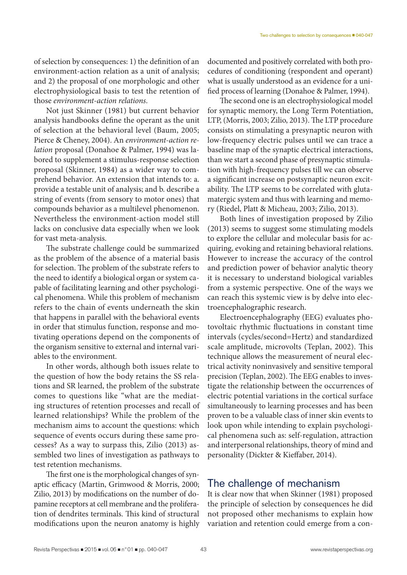of selection by consequences: 1) the definition of an environment-action relation as a unit of analysis; and 2) the proposal of one morphologic and other electrophysiological basis to test the retention of those *environment-action relations*.

Not just Skinner (1981) but current behavior analysis handbooks define the operant as the unit of selection at the behavioral level (Baum, 2005; Pierce & Cheney, 2004). An *environment-action relation* proposal (Donahoe & Palmer, 1994) was labored to supplement a stimulus-response selection proposal (Skinner, 1984) as a wider way to comprehend behavior. An extension that intends to: a. provide a testable unit of analysis; and b. describe a string of events (from sensory to motor ones) that compounds behavior as a multilevel phenomenon. Nevertheless the environment-action model still lacks on conclusive data especially when we look for vast meta-analysis.

The substrate challenge could be summarized as the problem of the absence of a material basis for selection. The problem of the substrate refers to the need to identify a biological organ or system capable of facilitating learning and other psychological phenomena. While this problem of mechanism refers to the chain of events underneath the skin that happens in parallel with the behavioral events in order that stimulus function, response and motivating operations depend on the components of the organism sensitive to external and internal variables to the environment.

In other words, although both issues relate to the question of how the body retains the SS relations and SR learned, the problem of the substrate comes to questions like "what are the mediating structures of retention processes and recall of learned relationships? While the problem of the mechanism aims to account the questions: which sequence of events occurs during these same processes? As a way to surpass this, Zilio (2013) assembled two lines of investigation as pathways to test retention mechanisms.

The first one is the morphological changes of synaptic efficacy (Martin, Grimwood & Morris, 2000; Zilio, 2013) by modifications on the number of dopamine receptors at cell membrane and the proliferation of dendrites terminals. This kind of structural modifications upon the neuron anatomy is highly documented and positively correlated with both procedures of conditioning (respondent and operant) what is usually understood as an evidence for a unified process of learning (Donahoe & Palmer, 1994).

The second one is an electrophysiological model for synaptic memory, the Long Term Potentiation, LTP, (Morris, 2003; Zilio, 2013). The LTP procedure consists on stimulating a presynaptic neuron with low-frequency electric pulses until we can trace a baseline map of the synaptic electrical interactions, than we start a second phase of presynaptic stimulation with high-frequency pulses till we can observe a significant increase on postsynaptic neuron excitability. The LTP seems to be correlated with glutamatergic system and thus with learning and memory (Riedel, Platt & Micheau, 2003; Zilio, 2013).

Both lines of investigation proposed by Zilio (2013) seems to suggest some stimulating models to explore the cellular and molecular basis for acquiring, evoking and retaining behavioral relations. However to increase the accuracy of the control and prediction power of behavior analytic theory it is necessary to understand biological variables from a systemic perspective. One of the ways we can reach this systemic view is by delve into electroencephalographic research.

Electroencephalography (EEG) evaluates photovoltaic rhythmic fluctuations in constant time intervals (cycles/second=Hertz) and standardized scale amplitude, microvolts (Teplan, 2002). This technique allows the measurement of neural electrical activity noninvasively and sensitive temporal precision (Teplan, 2002). The EEG enables to investigate the relationship between the occurrences of electric potential variations in the cortical surface simultaneously to learning processes and has been proven to be a valuable class of inner skin events to look upon while intending to explain psychological phenomena such as: self-regulation, attraction and interpersonal relationships, theory of mind and personality (Dickter & Kieffaber, 2014).

#### The challenge of mechanism

It is clear now that when Skinner (1981) proposed the principle of selection by consequences he did not proposed other mechanisms to explain how variation and retention could emerge from a con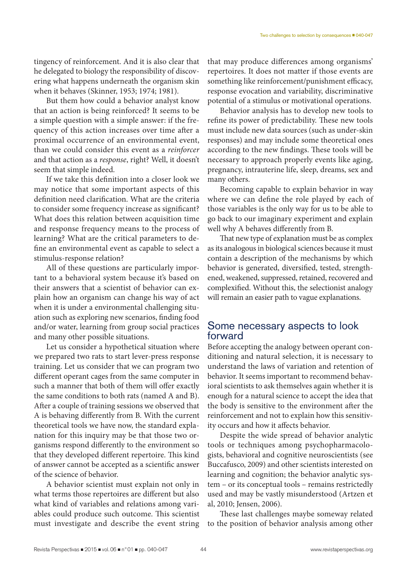tingency of reinforcement. And it is also clear that he delegated to biology the responsibility of discovering what happens underneath the organism skin when it behaves (Skinner, 1953; 1974; 1981).

But them how could a behavior analyst know that an action is being reinforced? It seems to be a simple question with a simple answer: if the frequency of this action increases over time after a proximal occurrence of an environmental event, than we could consider this event as a *reinforcer* and that action as a *response*, right? Well, it doesn't seem that simple indeed.

If we take this definition into a closer look we may notice that some important aspects of this definition need clarification. What are the criteria to consider some frequency increase as significant? What does this relation between acquisition time and response frequency means to the process of learning? What are the critical parameters to define an environmental event as capable to select a stimulus-response relation?

All of these questions are particularly important to a behavioral system because it's based on their answers that a scientist of behavior can explain how an organism can change his way of act when it is under a environmental challenging situation such as exploring new scenarios, finding food and/or water, learning from group social practices and many other possible situations.

Let us consider a hypothetical situation where we prepared two rats to start lever-press response training. Let us consider that we can program two different operant cages from the same computer in such a manner that both of them will offer exactly the same conditions to both rats (named A and B). After a couple of training sessions we observed that A is behaving differently from B. With the current theoretical tools we have now, the standard explanation for this inquiry may be that those two organisms respond differently to the environment so that they developed different repertoire. This kind of answer cannot be accepted as a scientific answer of the science of behavior.

A behavior scientist must explain not only in what terms those repertoires are different but also what kind of variables and relations among variables could produce such outcome. This scientist must investigate and describe the event string that may produce differences among organisms' repertoires. It does not matter if those events are something like reinforcement/punishment efficacy, response evocation and variability, discriminative potential of a stimulus or motivational operations.

Behavior analysis has to develop new tools to refine its power of predictability. These new tools must include new data sources (such as under-skin responses) and may include some theoretical ones according to the new findings. These tools will be necessary to approach properly events like aging, pregnancy, intrauterine life, sleep, dreams, sex and many others.

Becoming capable to explain behavior in way where we can define the role played by each of those variables is the only way for us to be able to go back to our imaginary experiment and explain well why A behaves differently from B.

That new type of explanation must be as complex as its analogous in biological sciences because it must contain a description of the mechanisms by which behavior is generated, diversified, tested, strengthened, weakened, suppressed, retained, recovered and complexified. Without this, the selectionist analogy will remain an easier path to vague explanations.

#### Some necessary aspects to look forward

Before accepting the analogy between operant conditioning and natural selection, it is necessary to understand the laws of variation and retention of behavior. It seems important to recommend behavioral scientists to ask themselves again whether it is enough for a natural science to accept the idea that the body is sensitive to the environment after the reinforcement and not to explain how this sensitivity occurs and how it affects behavior.

Despite the wide spread of behavior analytic tools or techniques among psychopharmacologists, behavioral and cognitive neuroscientists (see Buccafusco, 2009) and other scientists interested on learning and cognition; the behavior analytic system – or its conceptual tools – remains restrictedly used and may be vastly misunderstood (Artzen et al, 2010; Jensen, 2006).

These last challenges maybe someway related to the position of behavior analysis among other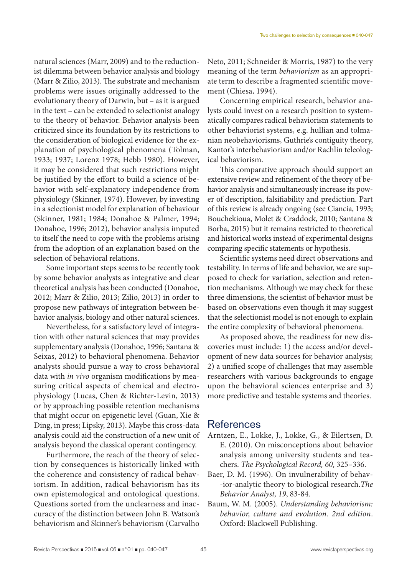natural sciences (Marr, 2009) and to the reductionist dilemma between behavior analysis and biology (Marr & Zilio, 2013). The substrate and mechanism problems were issues originally addressed to the evolutionary theory of Darwin, but – as it is argued in the text – can be extended to selectionist analogy to the theory of behavior. Behavior analysis been criticized since its foundation by its restrictions to the consideration of biological evidence for the explanation of psychological phenomena (Tolman, 1933; 1937; Lorenz 1978; Hebb 1980). However, it may be considered that such restrictions might be justified by the effort to build a science of behavior with self-explanatory independence from physiology (Skinner, 1974). However, by investing in a selectionist model for explanation of behaviour (Skinner, 1981; 1984; Donahoe & Palmer, 1994; Donahoe, 1996; 2012), behavior analysis imputed to itself the need to cope with the problems arising from the adoption of an explanation based on the selection of behavioral relations.

Some important steps seems to be recently took by some behavior analysts as integrative and clear theoretical analysis has been conducted (Donahoe, 2012; Marr & Zilio, 2013; Zilio, 2013) in order to propose new pathways of integration between behavior analysis, biology and other natural sciences.

Nevertheless, for a satisfactory level of integration with other natural sciences that may provides supplementary analysis (Donahoe, 1996; Santana & Seixas, 2012) to behavioral phenomena. Behavior analysts should pursue a way to cross behavioral data with *in vivo* organism modifications by measuring critical aspects of chemical and electrophysiology (Lucas, Chen & Richter-Levin, 2013) or by approaching possible retention mechanisms that might occur on epigenetic level (Guan, Xie & Ding, in press; Lipsky, 2013). Maybe this cross-data analysis could aid the construction of a new unit of analysis beyond the classical operant contingency.

Furthermore, the reach of the theory of selection by consequences is historically linked with the coherence and consistency of radical behaviorism. In addition, radical behaviorism has its own epistemological and ontological questions. Questions sorted from the unclearness and inaccuracy of the distinction between John B. Watson's behaviorism and Skinner's behaviorism (Carvalho

Neto, 2011; Schneider & Morris, 1987) to the very meaning of the term *behaviorism* as an appropriate term to describe a fragmented scientific movement (Chiesa, 1994).

Concerning empirical research, behavior analysts could invest on a research position to systematically compares radical behaviorism statements to other behaviorist systems, e.g. hullian and tolmanian neobehaviorisms, Guthrie's contiguity theory, Kantor's interbehaviorism and/or Rachlin teleological behaviorism.

This comparative approach should support an extensive review and refinement of the theory of behavior analysis and simultaneously increase its power of description, falsifiability and prediction. Part of this review is already ongoing (see Ciancia, 1993; Bouchekioua, Molet & Craddock, 2010; Santana & Borba, 2015) but it remains restricted to theoretical and historical works instead of experimental designs comparing specific statements or hypothesis.

Scientific systems need direct observations and testability. In terms of life and behavior, we are supposed to check for variation, selection and retention mechanisms. Although we may check for these three dimensions, the scientist of behavior must be based on observations even though it may suggest that the selectionist model is not enough to explain the entire complexity of behavioral phenomena.

As proposed above, the readiness for new discoveries must include: 1) the access and/or development of new data sources for behavior analysis; 2) a unified scope of challenges that may assemble researchers with various backgrounds to engage upon the behavioral sciences enterprise and 3) more predictive and testable systems and theories.

### **References**

- Arntzen, E., Lokke, J., Lokke, G., & Eilertsen, D. E. (2010). On misconceptions about behavior analysis among university students and teachers. *The Psychological Record, 60*, 325–336.
- Baer, D. M. (1996). On invulnerability of behav- -ior-analytic theory to biological research.*The Behavior Analyst, 19*, 83-84.
- Baum, W. M. (2005). *Understanding behaviorism: behavior, culture and evolution. 2nd edition*. Oxford: Blackwell Publishing.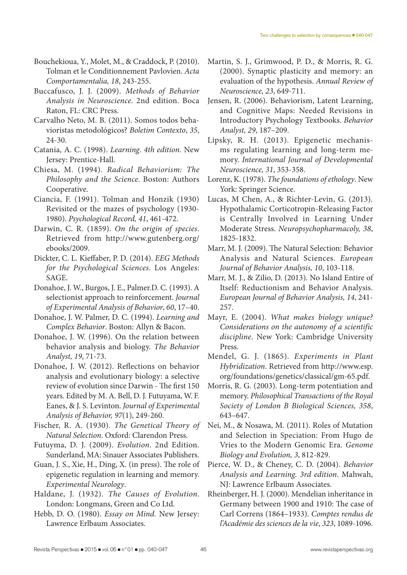- Bouchekioua, Y., Molet, M., & Craddock, P. (2010). Tolman et le Conditionnement Pavlovien. *Acta Comportamentalia, 18*, 243-255.
- Buccafusco, J. J. (2009). *Methods of Behavior Analysis in Neuroscience*. 2nd edition. Boca Raton, FL: CRC Press.
- Carvalho Neto, M. B. (2011). Somos todos behavioristas metodológicos? *Boletim Contexto*, *35*, 24-30.
- Catania, A. C. (1998). *Learning*. *4th edition.* New Jersey: Prentice-Hall.
- Chiesa, M. (1994). *Radical Behaviorism: The Philosophy and the Science*. Boston: Authors Cooperative.
- Ciancia, F. (1991). Tolman and Honzik (1930) Revisited or the mazes of psychology (1930- 1980). *Psychological Record, 41*, 461-472.
- Darwin, C. R. (1859). *On the origin of species*. Retrieved from http://www.gutenberg.org/ ebooks/2009.
- Dickter, C. L. Kieffaber, P. D. (2014). *EEG Methods for the Psychological Sciences*. Los Angeles: SAGE.
- Donahoe, J. W., Burgos, J. E., Palmer.D. C. (1993). A selectionist approach to reinforcement. *Journal of Experimental Analysis of Behavior*, *60*, 17–40.
- Donahoe, J. W. Palmer, D. C. (1994). *Learning and Complex Behavior*. Boston: Allyn & Bacon.
- Donahoe, J. W. (1996). On the relation between behavior analysis and biology. *The Behavior Analyst, 19*, 71-73.
- Donahoe, J. W. (2012). Reflections on behavior analysis and evolutionary biology: a selective review of evolution since Darwin - The first 150 years. Edited by M. A. Bell, D. J. Futuyama, W. F. Eanes, & J. S. Levinton. *Journal of Experimental Analysis of Behavior, 97*(1), 249-260.
- Fischer, R. A. (1930). *The Genetical Theory of Natural Selection*. Oxford: Clarendon Press.
- Futuyma, D. J. (2009). *Evolution*. 2nd Edition. Sunderland, MA: Sinauer Associates Publishers.
- Guan, J. S., Xie, H., Ding, X. (in press). The role of epigenetic regulation in learning and memory. *Experimental Neurology*.
- Haldane, J. (1932). *The Causes of Evolution*. London: Longmans, Green and Co Ltd.
- Hebb, D. O. (1980). *Essay on Mind.* New Jersey: Lawrence Erlbaum Associates.
- Martin, S. J., Grimwood, P. D., & Morris, R. G. (2000). Synaptic plasticity and memory: an evaluation of the hypothesis. *Annual Review of Neuroscience, 23*, 649-711.
- Jensen, R. (2006). Behaviorism, Latent Learning, and Cognitive Maps: Needed Revisions in Introductory Psychology Textbooks. *Behavior Analyst, 29*, 187–209.
- Lipsky, R. H. (2013). Epigenetic mechanisms regulating learning and long-term memory. *International Journal of Developmental Neuroscience, 31*, 353-358.
- Lorenz, K. (1978). *The foundations of ethology*. New York: Springer Science.
- Lucas, M Chen, A., & Richter-Levin, G. (2013). Hypothalamic Corticotropin-Releasing Factor is Centrally Involved in Learning Under Moderate Stress. *Neuropsychopharmacoly, 38*, 1825-1832.
- Marr, M. J. (2009). The Natural Selection: Behavior Analysis and Natural Sciences. *European Journal of Behavior Analysis, 10*, 103-118.
- Marr, M. J., & Zilio, D. (2013). No Island Entire of Itself: Reductionism and Behavior Analysis. *European Journal of Behavior Analysis, 14*, 241- 257.
- Mayr, E. (2004). *What makes biology unique? Considerations on the autonomy of a scientific discipline*. New York: Cambridge University Press.
- Mendel, G. J. (1865). *Experiments in Plant Hybridization*. Retrieved from http://www.esp. org/foundations/genetics/classical/gm-65.pdf.
- Morris, R. G. (2003). Long-term potentiation and memory. *Philosophical Transactions of the Royal Society of London B Biological Sciences, 358*, 643–647.
- Nei, M., & Nosawa, M. (2011). Roles of Mutation and Selection in Speciation: From Hugo de Vries to the Modern Genomic Era. *Genome Biology and Evolution, 3*, 812-829.
- Pierce, W. D., & Cheney, C. D. (2004). *Behavior Analysis and Learning. 3rd edition*. Mahwah, NJ: Lawrence Erlbaum Associates.
- Rheinberger, H. J. (2000). Mendelian inheritance in Germany between 1900 and 1910: The case of Carl Correns (1864–1933). *Comptes rendus de l'Académie des sciences de la vie*, *323*, 1089-1096.